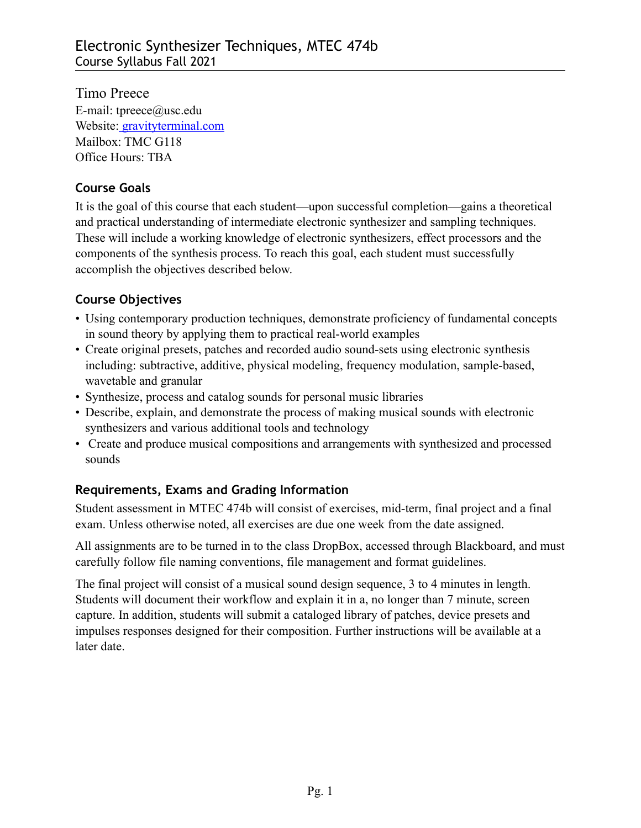Timo Preece E-mail: [tpreece@usc.edu](mailto:tpreece@usc.edu)  Website: [gravityterminal.com](http://www.gravityterminal.com/) Mailbox: TMC G118 Office Hours: TBA

## **Course Goals**

It is the goal of this course that each student—upon successful completion—gains a theoretical and practical understanding of intermediate electronic synthesizer and sampling techniques. These will include a working knowledge of electronic synthesizers, effect processors and the components of the synthesis process. To reach this goal, each student must successfully accomplish the objectives described below.

# **Course Objectives**

- Using contemporary production techniques, demonstrate proficiency of fundamental concepts in sound theory by applying them to practical real-world examples
- Create original presets, patches and recorded audio sound-sets using electronic synthesis including: subtractive, additive, physical modeling, frequency modulation, sample-based, wavetable and granular
- Synthesize, process and catalog sounds for personal music libraries
- Describe, explain, and demonstrate the process of making musical sounds with electronic synthesizers and various additional tools and technology
- Create and produce musical compositions and arrangements with synthesized and processed sounds

# **Requirements, Exams and Grading Information**

Student assessment in MTEC 474b will consist of exercises, mid-term, final project and a final exam. Unless otherwise noted, all exercises are due one week from the date assigned.

All assignments are to be turned in to the class DropBox, accessed through Blackboard, and must carefully follow file naming conventions, file management and format guidelines.

The final project will consist of a musical sound design sequence, 3 to 4 minutes in length. Students will document their workflow and explain it in a, no longer than 7 minute, screen capture. In addition, students will submit a cataloged library of patches, device presets and impulses responses designed for their composition. Further instructions will be available at a later date.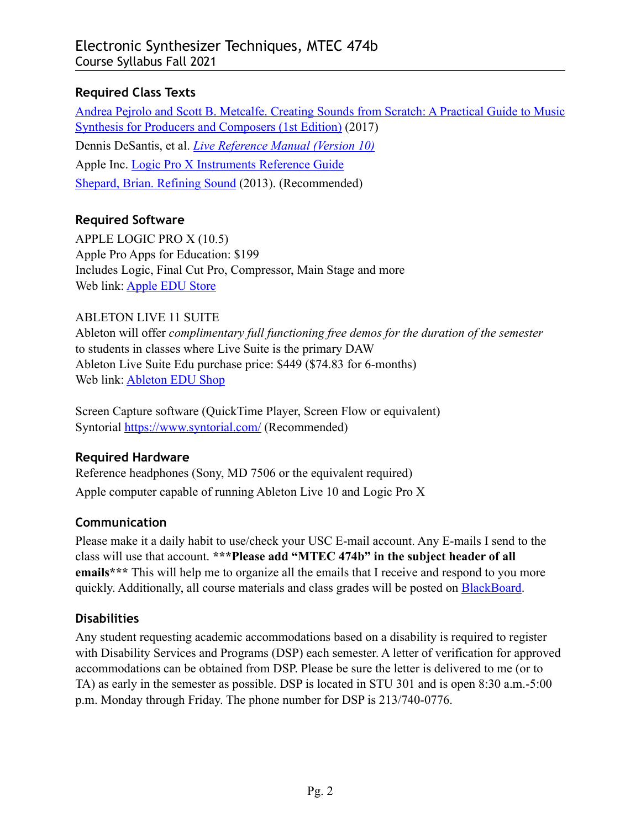## **Required Class Texts**

[Andrea Pejrolo and Scott B. Metcalfe. Creating Sounds from Scratch: A Practical Guide to Music](https://www.amazon.com/Creating-Sounds-Scratch-Practical-Synthesis-ebook-dp-B01MT3UWAM/dp/B01MT3UWAM/ref=mt_other?_encoding=UTF8&me=&qid=1596568890)  [Synthesis for Producers and Composers \(1st Edition\)](https://www.amazon.com/Creating-Sounds-Scratch-Practical-Synthesis-ebook-dp-B01MT3UWAM/dp/B01MT3UWAM/ref=mt_other?_encoding=UTF8&me=&qid=1596568890) (2017) Dennis DeSantis, et al. *[Live Reference Manual \(Version 10\)](https://www.ableton.com/en/manual/welcome-to-live/)* Apple Inc. [Logic Pro X Instruments Reference Guide](https://help.apple.com/logicpro-instruments/mac/10.2/) [Shepard, Brian. Refining Sound](http://www.apple.com) (2013). (Recommended)

## **Required Software**

APPLE LOGIC PRO X (10.5) Apple Pro Apps for Education: \$199 Includes Logic, Final Cut Pro, Compressor, Main Stage and more Web link: [Apple EDU Store](https://www.apple.com/us-hed/shop/product/BMGE2Z/A/pro-apps-bundle-for-education)

## ABLETON LIVE 11 SUITE

Ableton will offer *complimentary full functioning free demos for the duration of the semester* to students in classes where Live Suite is the primary DAW Ableton Live Suite Edu purchase price: \$449 (\$74.83 for 6-months) Web link: [Ableton EDU Shop](https://www.ableton.com/en/shop/education/)

Screen Capture software (QuickTime Player, Screen Flow or equivalent) Syntorial <https://www.syntorial.com/>(Recommended)

# **Required Hardware**

Reference headphones (Sony, MD 7506 or the equivalent required) Apple computer capable of running Ableton Live 10 and Logic Pro X

# **Communication**

Please make it a daily habit to use/check your USC E-mail account. Any E-mails I send to the class will use that account. **\*\*\*Please add "MTEC 474b" in the subject header of all emails\*\*\*** This will help me to organize all the emails that I receive and respond to you more quickly. Additionally, all course materials and class grades will be posted on [BlackBoard](http://blackboard.usc.edu).

## **Disabilities**

Any student requesting academic accommodations based on a disability is required to register with Disability Services and Programs (DSP) each semester. A letter of verification for approved accommodations can be obtained from DSP. Please be sure the letter is delivered to me (or to TA) as early in the semester as possible. DSP is located in STU 301 and is open 8:30 a.m.-5:00 p.m. Monday through Friday. The phone number for DSP is 213/740-0776.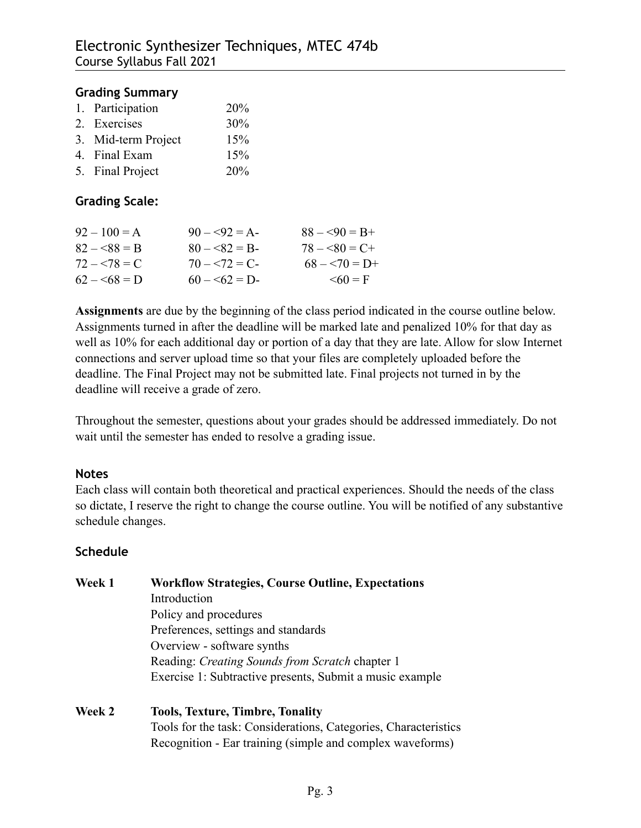#### **Grading Summary**

| 1. Participation    | 20% |
|---------------------|-----|
| 2. Exercises        | 30% |
| 3. Mid-term Project | 15% |
| 4. Final Exam       | 15% |
| 5. Final Project    | 20% |

### **Grading Scale:**

| $92 - 100 = A$ | $90 - 92 = A$  | $88 - 90 = B +$ |
|----------------|----------------|-----------------|
| $82 - 88 = B$  | $80 - 82 = B$  | $78 - 80 = C +$ |
| $72 - 78 = C$  | $70 - 572 = C$ | $68 - 70 = D+$  |
| $62 - 568 = D$ | $60 - 62 = D$  | $\leq 60 = F$   |

**Assignments** are due by the beginning of the class period indicated in the course outline below. Assignments turned in after the deadline will be marked late and penalized 10% for that day as well as 10% for each additional day or portion of a day that they are late. Allow for slow Internet connections and server upload time so that your files are completely uploaded before the deadline. The Final Project may not be submitted late. Final projects not turned in by the deadline will receive a grade of zero.

Throughout the semester, questions about your grades should be addressed immediately. Do not wait until the semester has ended to resolve a grading issue.

#### **Notes**

Each class will contain both theoretical and practical experiences. Should the needs of the class so dictate, I reserve the right to change the course outline. You will be notified of any substantive schedule changes.

#### **Schedule**

**Week 1 Workflow Strategies, Course Outline, Expectations** Introduction Policy and procedures Preferences, settings and standards Overview - software synths Reading: *Creating Sounds from Scratch* chapter 1 Exercise 1: Subtractive presents, Submit a music example

#### **Week 2 Tools, Texture, Timbre, Tonality** Tools for the task: Considerations, Categories, Characteristics Recognition - Ear training (simple and complex waveforms)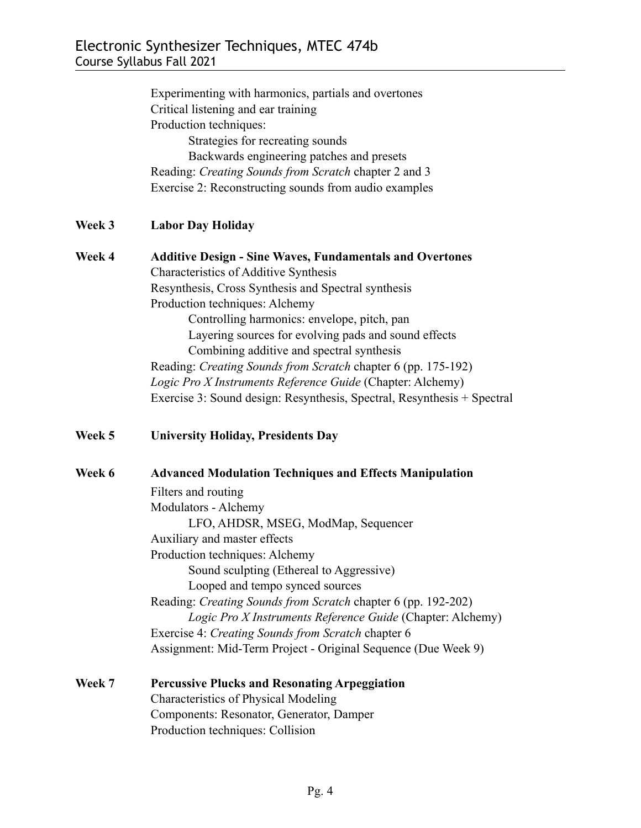|        | Experimenting with harmonics, partials and overtones<br>Critical listening and ear training<br>Production techniques:<br>Strategies for recreating sounds<br>Backwards engineering patches and presets<br>Reading: Creating Sounds from Scratch chapter 2 and 3<br>Exercise 2: Reconstructing sounds from audio examples                                                                                                                                                                                                                                        |  |
|--------|-----------------------------------------------------------------------------------------------------------------------------------------------------------------------------------------------------------------------------------------------------------------------------------------------------------------------------------------------------------------------------------------------------------------------------------------------------------------------------------------------------------------------------------------------------------------|--|
| Week 3 | <b>Labor Day Holiday</b>                                                                                                                                                                                                                                                                                                                                                                                                                                                                                                                                        |  |
| Week 4 | <b>Additive Design - Sine Waves, Fundamentals and Overtones</b><br>Characteristics of Additive Synthesis<br>Resynthesis, Cross Synthesis and Spectral synthesis<br>Production techniques: Alchemy<br>Controlling harmonics: envelope, pitch, pan<br>Layering sources for evolving pads and sound effects<br>Combining additive and spectral synthesis<br>Reading: Creating Sounds from Scratch chapter 6 (pp. 175-192)<br>Logic Pro X Instruments Reference Guide (Chapter: Alchemy)<br>Exercise 3: Sound design: Resynthesis, Spectral, Resynthesis + Spectral |  |
| Week 5 | <b>University Holiday, Presidents Day</b>                                                                                                                                                                                                                                                                                                                                                                                                                                                                                                                       |  |
| Week 6 | <b>Advanced Modulation Techniques and Effects Manipulation</b><br>Filters and routing<br>Modulators - Alchemy<br>LFO, AHDSR, MSEG, ModMap, Sequencer<br>Auxiliary and master effects<br>Production techniques: Alchemy<br>Sound sculpting (Ethereal to Aggressive)<br>Looped and tempo synced sources<br>Reading: Creating Sounds from Scratch chapter 6 (pp. 192-202)<br>Logic Pro X Instruments Reference Guide (Chapter: Alchemy)<br>Exercise 4: Creating Sounds from Scratch chapter 6<br>Assignment: Mid-Term Project - Original Sequence (Due Week 9)     |  |
| Week 7 | <b>Percussive Plucks and Resonating Arpeggiation</b><br><b>Characteristics of Physical Modeling</b>                                                                                                                                                                                                                                                                                                                                                                                                                                                             |  |

 Components: Resonator, Generator, Damper Production techniques: Collision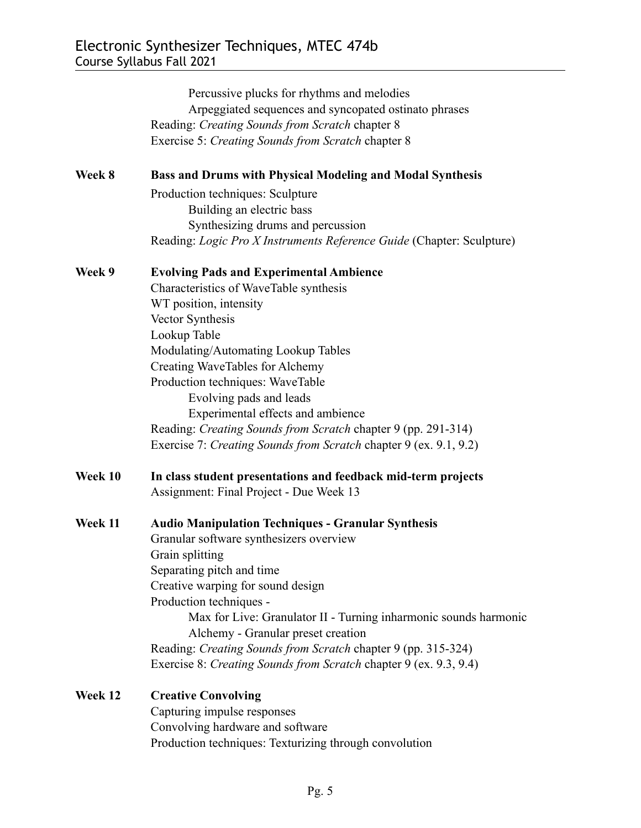|         | Percussive plucks for rhythms and melodies<br>Arpeggiated sequences and syncopated ostinato phrases<br>Reading: Creating Sounds from Scratch chapter 8<br>Exercise 5: Creating Sounds from Scratch chapter 8 |  |  |
|---------|--------------------------------------------------------------------------------------------------------------------------------------------------------------------------------------------------------------|--|--|
| Week 8  | <b>Bass and Drums with Physical Modeling and Modal Synthesis</b>                                                                                                                                             |  |  |
|         | Production techniques: Sculpture<br>Building an electric bass<br>Synthesizing drums and percussion                                                                                                           |  |  |
|         | Reading: Logic Pro X Instruments Reference Guide (Chapter: Sculpture)                                                                                                                                        |  |  |
| Week 9  | <b>Evolving Pads and Experimental Ambience</b>                                                                                                                                                               |  |  |
|         | Characteristics of WaveTable synthesis                                                                                                                                                                       |  |  |
|         | WT position, intensity                                                                                                                                                                                       |  |  |
|         | Vector Synthesis                                                                                                                                                                                             |  |  |
|         | Lookup Table                                                                                                                                                                                                 |  |  |
|         | Modulating/Automating Lookup Tables                                                                                                                                                                          |  |  |
|         | Creating WaveTables for Alchemy                                                                                                                                                                              |  |  |
|         | Production techniques: WaveTable                                                                                                                                                                             |  |  |
|         | Evolving pads and leads                                                                                                                                                                                      |  |  |
|         | Experimental effects and ambience                                                                                                                                                                            |  |  |
|         | Reading: Creating Sounds from Scratch chapter 9 (pp. 291-314)                                                                                                                                                |  |  |
|         | Exercise 7: Creating Sounds from Scratch chapter 9 (ex. 9.1, 9.2)                                                                                                                                            |  |  |
| Week 10 | In class student presentations and feedback mid-term projects                                                                                                                                                |  |  |
|         | Assignment: Final Project - Due Week 13                                                                                                                                                                      |  |  |
| Week 11 | <b>Audio Manipulation Techniques - Granular Synthesis</b>                                                                                                                                                    |  |  |
|         | Granular software synthesizers overview                                                                                                                                                                      |  |  |
|         | Grain splitting                                                                                                                                                                                              |  |  |
|         | Separating pitch and time                                                                                                                                                                                    |  |  |
|         | Creative warping for sound design                                                                                                                                                                            |  |  |
|         | Production techniques -                                                                                                                                                                                      |  |  |
|         | Max for Live: Granulator II - Turning inharmonic sounds harmonic                                                                                                                                             |  |  |
|         | Alchemy - Granular preset creation                                                                                                                                                                           |  |  |
|         | Reading: Creating Sounds from Scratch chapter 9 (pp. 315-324)                                                                                                                                                |  |  |
|         | Exercise 8: Creating Sounds from Scratch chapter 9 (ex. 9.3, 9.4)                                                                                                                                            |  |  |
| Week 12 | <b>Creative Convolving</b>                                                                                                                                                                                   |  |  |
|         | Capturing impulse responses                                                                                                                                                                                  |  |  |
|         | Convolving hardware and software                                                                                                                                                                             |  |  |
|         | Production techniques: Texturizing through convolution                                                                                                                                                       |  |  |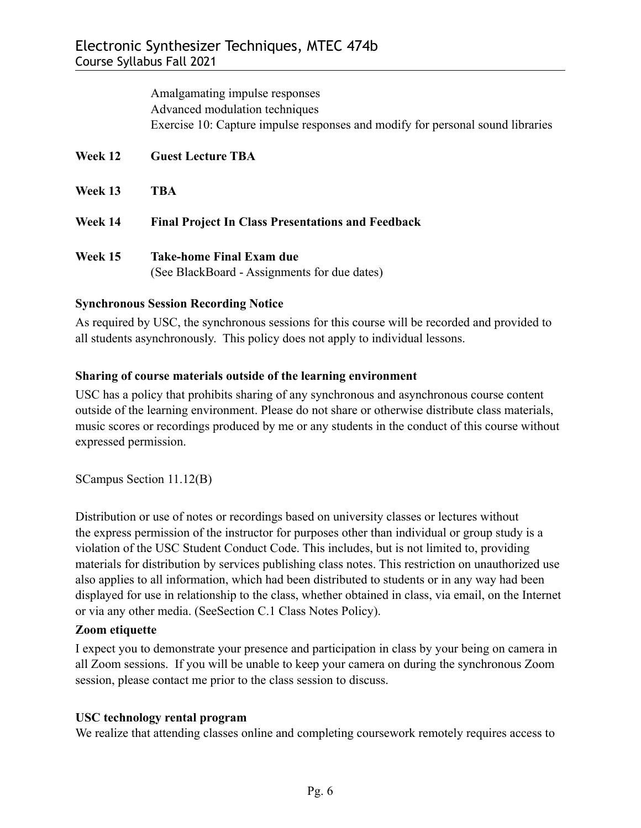Amalgamating impulse responses Advanced modulation techniques Exercise 10: Capture impulse responses and modify for personal sound libraries **Week 12 Guest Lecture TBA Week 13 TBA Week 14 Final Project In Class Presentations and Feedback**

**Week 15 Take-home Final Exam due** (See BlackBoard - Assignments for due dates)

## **Synchronous Session Recording Notice**

As required by USC, the synchronous sessions for this course will be recorded and provided to all students asynchronously. This policy does not apply to individual lessons.

## **Sharing of course materials outside of the learning environment**

USC has a policy that prohibits sharing of any synchronous and asynchronous course content outside of the learning environment. Please do not share or otherwise distribute class materials, music scores or recordings produced by me or any students in the conduct of this course without expressed permission.

SCampus Section 11.12(B)

Distribution or use of notes or recordings based on university classes or lectures without the express permission of the instructor for purposes other than individual or group study is a violation of the USC Student Conduct Code. This includes, but is not limited to, providing materials for distribution by services publishing class notes. This restriction on unauthorized use also applies to all information, which had been distributed to students or in any way had been displayed for use in relationship to the class, whether obtained in class, via email, on the Internet or via any other media. (SeeSection C.1 Class Notes Policy).

## **Zoom etiquette**

I expect you to demonstrate your presence and participation in class by your being on camera in all Zoom sessions. If you will be unable to keep your camera on during the synchronous Zoom session, please contact me prior to the class session to discuss.

## **USC technology rental program**

We realize that attending classes online and completing coursework remotely requires access to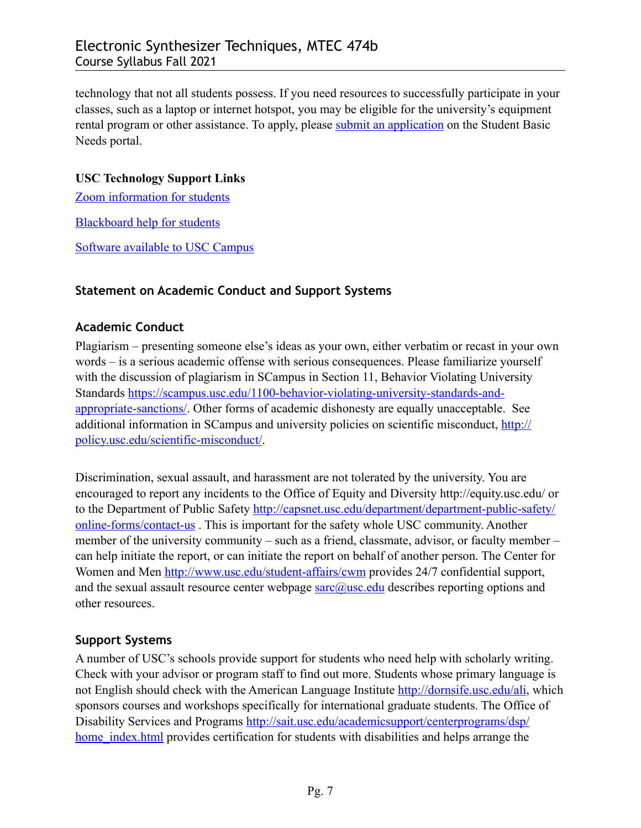technology that not all students possess. If you need resources to successfully participate in your classes, such as a laptop or internet hotspot, you may be eligible for the university's equipment rental program or other assistance. To apply, please [submit an application](https://studentbasicneeds.usc.edu/resources/technology-assistance/) on the Student Basic Needs portal.

### **USC Technology Support Links**

[Zoom information for students](https://keepteaching.usc.edu/start-learning/)

[Blackboard help for students](https://studentblackboardhelp.usc.edu/)

[Software available to USC Campus](https://software.usc.edu/)

### **Statement on Academic Conduct and Support Systems**

### **Academic Conduct**

Plagiarism – presenting someone else's ideas as your own, either verbatim or recast in your own words – is a serious academic offense with serious consequences. Please familiarize yourself with the discussion of plagiarism in SCampus in Section 11, Behavior Violating University Standards [https://scampus.usc.edu/1100-behavior-violating-university-standards-and](https://scampus.usc.edu/1100-behavior-violating-university-standards-and-appropriate-sanctions/)[appropriate-sanctions/.](https://scampus.usc.edu/1100-behavior-violating-university-standards-and-appropriate-sanctions/) Other forms of academic dishonesty are equally unacceptable. See additional information in SCampus and university policies on scientific misconduct, [http://](http://policy.usc.edu/scientific-misconduct/) [policy.usc.edu/scientific-misconduct/](http://policy.usc.edu/scientific-misconduct/).

Discrimination, sexual assault, and harassment are not tolerated by the university. You are encouraged to report any incidents to the Office of Equity and Diversity http://equity.usc.edu/ or to the Department of Public Safety [http://capsnet.usc.edu/department/department-public-safety/](http://capsnet.usc.edu/department/department-public-safety/online-forms/contact-us) [online-forms/contact-us](http://capsnet.usc.edu/department/department-public-safety/online-forms/contact-us) . This is important for the safety whole USC community. Another member of the university community – such as a friend, classmate, advisor, or faculty member – can help initiate the report, or can initiate the report on behalf of another person. The Center for Women and Men [http://www.usc.edu/student-affairs/cwm](http://www.usc.edu/student-affairs/cwm?) provides 24/7 confidential support, and the sexual assault resource center webpage  $\frac{\text{garc}(\hat{a})}{\text{usc.} \text{edu}}$  describes reporting options and other resources.

## **Support Systems**

A number of USC's schools provide support for students who need help with scholarly writing. Check with your advisor or program staff to find out more. Students whose primary language is not English should check with the American Language Institute [http://dornsife.usc.edu/ali,](http://dornsife.usc.edu/ali) which sponsors courses and workshops specifically for international graduate students. The Office of Disability Services and Programs [http://sait.usc.edu/academicsupport/centerprograms/dsp/](http://sait.usc.edu/academicsupport/centerprograms/dsp/home_index.html) home index.html provides certification for students with disabilities and helps arrange the